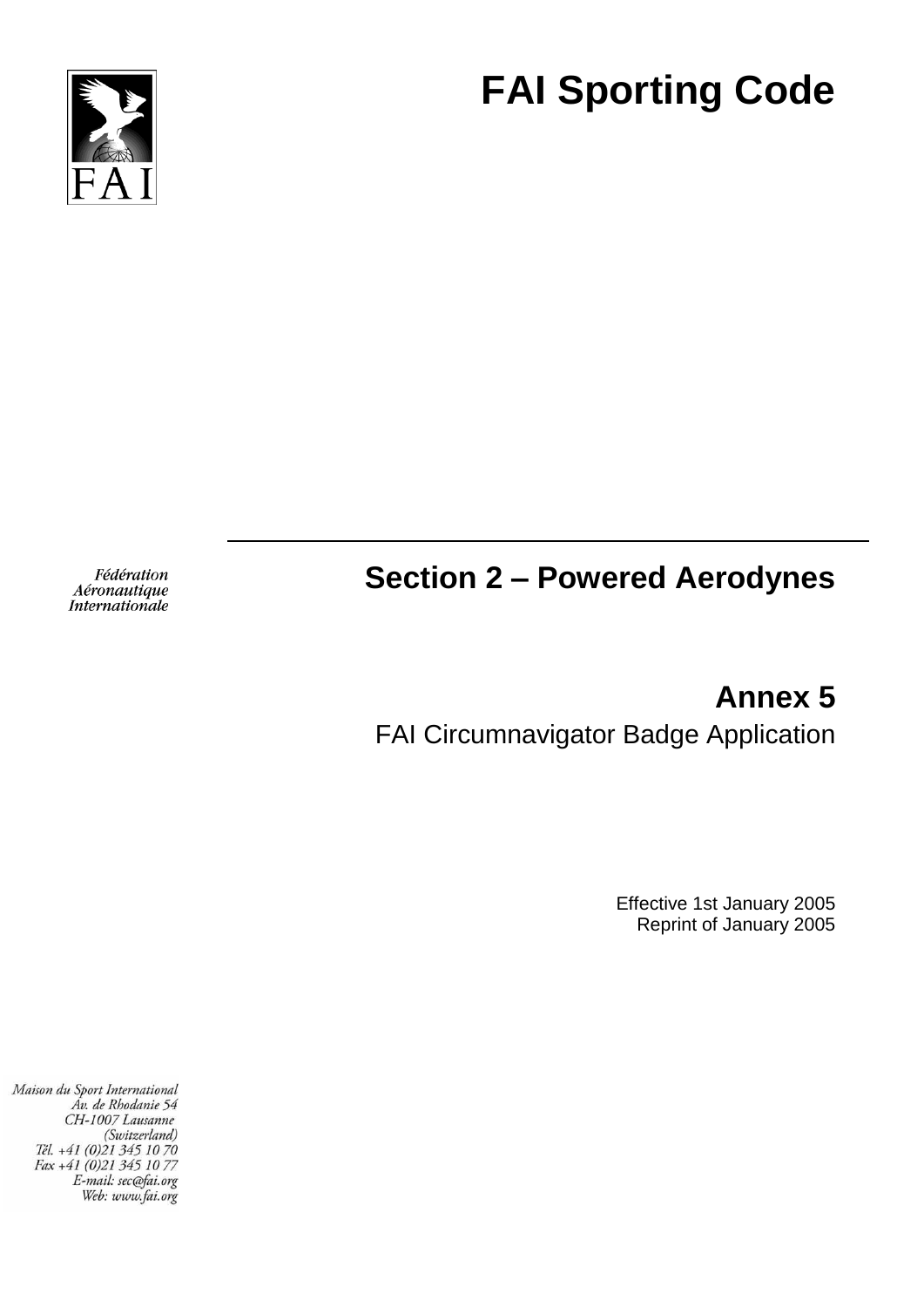



Fédération Aéronautique Internationale

# **Section 2 – Powered Aerodynes**

**Annex 5** FAI Circumnavigator Badge Application

> Effective 1st January 2005 Reprint of January 2005

Maison du Sport International Áv. de Rhodanie 54 CH-1007 Lausanne (Switzerland) Tél. +41 (0)21 345 10 70<br>Fax +41 (0)21 345 10 77 E-mail: sec@fai.org Web: www.fai.org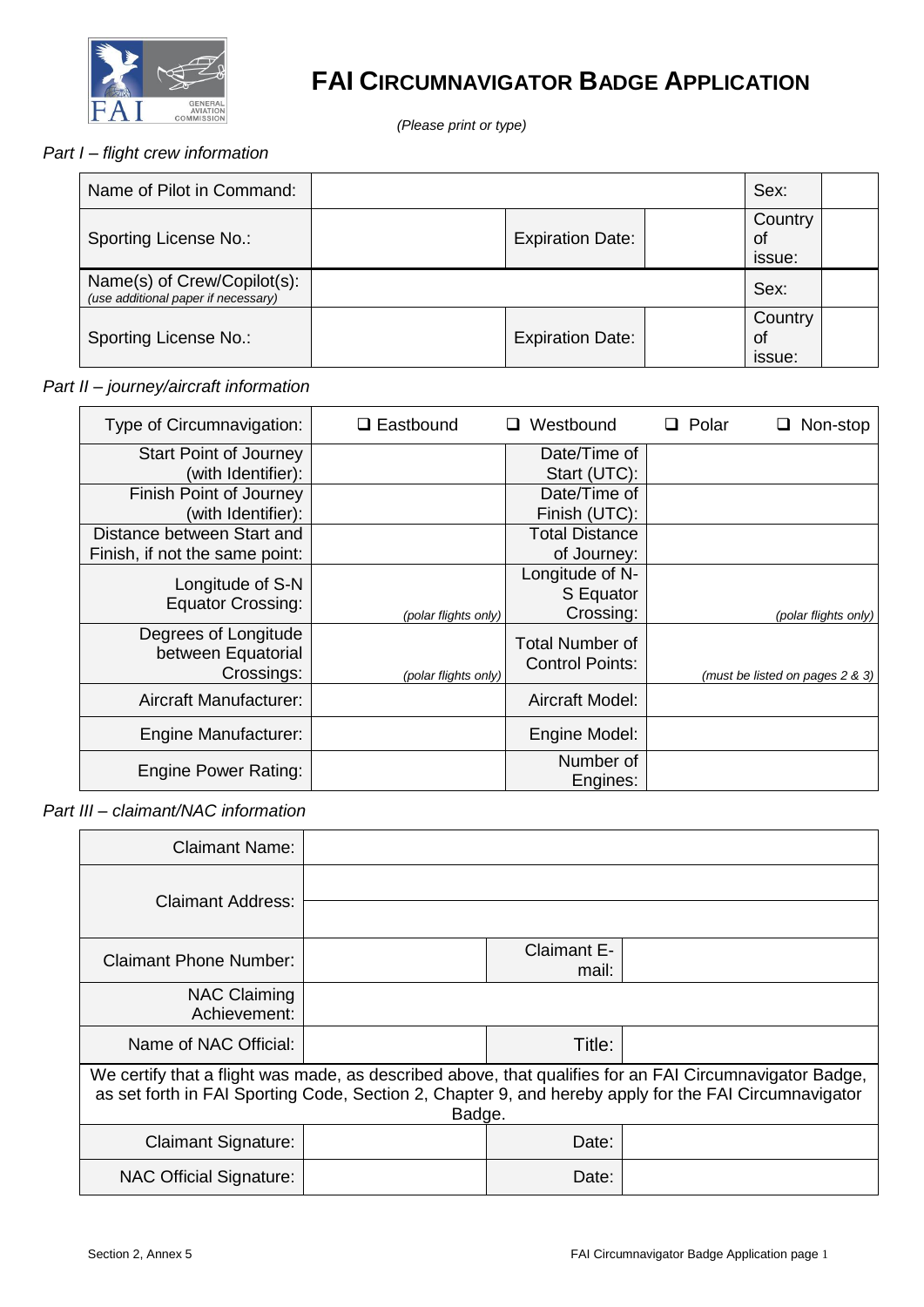

### **FAI CIRCUMNAVIGATOR BADGE APPLICATION**

*(Please print or type)*

#### *Part I – flight crew information*

| Name of Pilot in Command:                                          |                         |                         | Sex: |  |
|--------------------------------------------------------------------|-------------------------|-------------------------|------|--|
| Sporting License No.:                                              | <b>Expiration Date:</b> | Country<br>of<br>issue: |      |  |
| Name(s) of Crew/Copilot(s):<br>(use additional paper if necessary) |                         |                         | Sex: |  |
| Sporting License No.:                                              | <b>Expiration Date:</b> | Country<br>of<br>issue: |      |  |

#### *Part II – journey/aircraft information*

| Type of Circumnavigation:                                    | $\Box$ Eastbound     | Westbound<br>ப                                   | $\Box$ Polar | Non-stop                        |
|--------------------------------------------------------------|----------------------|--------------------------------------------------|--------------|---------------------------------|
| <b>Start Point of Journey</b><br>(with Identifier):          |                      | Date/Time of<br>Start (UTC):                     |              |                                 |
| Finish Point of Journey<br>(with Identifier):                |                      | Date/Time of<br>Finish (UTC):                    |              |                                 |
| Distance between Start and<br>Finish, if not the same point: |                      | <b>Total Distance</b><br>of Journey:             |              |                                 |
| Longitude of S-N<br><b>Equator Crossing:</b>                 | (polar flights only) | Longitude of N-<br>S Equator<br>Crossing:        |              | (polar flights only)            |
| Degrees of Longitude<br>between Equatorial<br>Crossings:     | (polar flights only) | <b>Total Number of</b><br><b>Control Points:</b> |              | (must be listed on pages 2 & 3) |
| Aircraft Manufacturer:                                       |                      | Aircraft Model:                                  |              |                                 |
| <b>Engine Manufacturer:</b>                                  |                      | Engine Model:                                    |              |                                 |
| <b>Engine Power Rating:</b>                                  |                      | Number of<br>Engines:                            |              |                                 |

*Part III – claimant/NAC information*

| <b>Claimant Name:</b>                                                                                                                                                                                                      |  |                             |  |
|----------------------------------------------------------------------------------------------------------------------------------------------------------------------------------------------------------------------------|--|-----------------------------|--|
| Claimant Address:                                                                                                                                                                                                          |  |                             |  |
| <b>Claimant Phone Number:</b>                                                                                                                                                                                              |  | <b>Claimant E-</b><br>mail: |  |
| <b>NAC Claiming</b><br>Achievement:                                                                                                                                                                                        |  |                             |  |
| Name of NAC Official:                                                                                                                                                                                                      |  | Title:                      |  |
| We certify that a flight was made, as described above, that qualifies for an FAI Circumnavigator Badge,<br>as set forth in FAI Sporting Code, Section 2, Chapter 9, and hereby apply for the FAI Circumnavigator<br>Badge. |  |                             |  |
| <b>Claimant Signature:</b>                                                                                                                                                                                                 |  | Date:                       |  |
| <b>NAC Official Signature:</b>                                                                                                                                                                                             |  | Date:                       |  |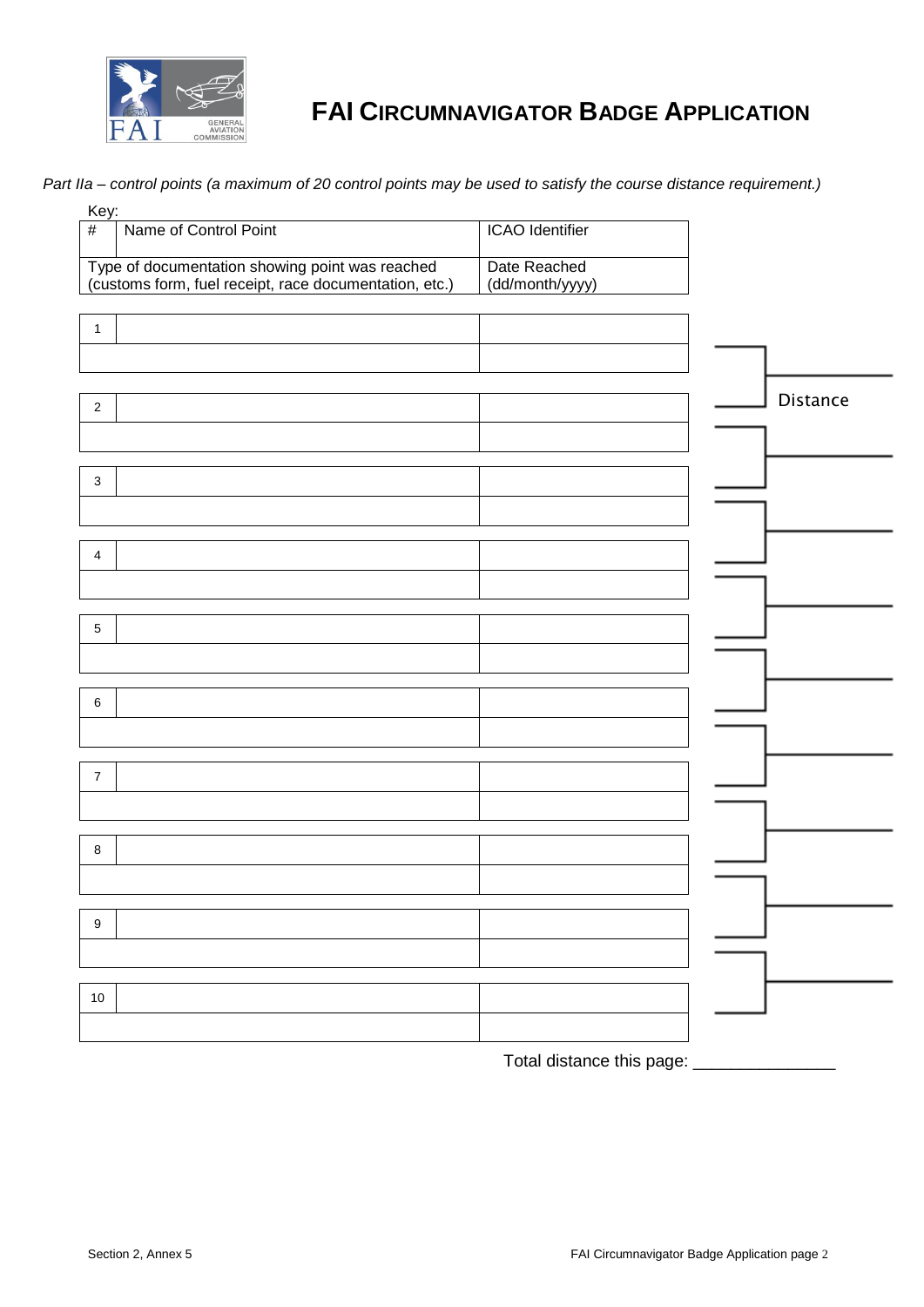

## **FAI CIRCUMNAVIGATOR BADGE APPLICATION**

*Part IIa – control points (a maximum of 20 control points may be used to satisfy the course distance requirement.)*

| Key:                                                                                                      |                        |                 |
|-----------------------------------------------------------------------------------------------------------|------------------------|-----------------|
| Name of Control Point<br>#                                                                                | <b>ICAO</b> Identifier |                 |
|                                                                                                           |                        |                 |
| Type of documentation showing point was reached<br>(customs form, fuel receipt, race documentation, etc.) | Date Reached           |                 |
|                                                                                                           | (dd/month/yyyy)        |                 |
|                                                                                                           |                        |                 |
| $\mathbf{1}$                                                                                              |                        |                 |
|                                                                                                           |                        |                 |
|                                                                                                           |                        |                 |
| $\mathbf 2$                                                                                               |                        | <b>Distance</b> |
|                                                                                                           |                        |                 |
|                                                                                                           |                        |                 |
|                                                                                                           |                        |                 |
| $\mathbf{3}$                                                                                              |                        |                 |
|                                                                                                           |                        |                 |
|                                                                                                           |                        |                 |
| $\overline{4}$                                                                                            |                        |                 |
|                                                                                                           |                        |                 |
|                                                                                                           |                        |                 |
| 5                                                                                                         |                        |                 |
|                                                                                                           |                        |                 |
|                                                                                                           |                        |                 |
|                                                                                                           |                        |                 |
| 6                                                                                                         |                        |                 |
|                                                                                                           |                        |                 |
|                                                                                                           |                        |                 |
| $\overline{7}$                                                                                            |                        |                 |
|                                                                                                           |                        |                 |
|                                                                                                           |                        |                 |
| 8                                                                                                         |                        |                 |
|                                                                                                           |                        |                 |
|                                                                                                           |                        |                 |
|                                                                                                           |                        |                 |
| 9                                                                                                         |                        |                 |
|                                                                                                           |                        |                 |
|                                                                                                           |                        |                 |
| $10\,$                                                                                                    |                        |                 |
|                                                                                                           |                        |                 |
|                                                                                                           |                        |                 |

Total distance this page: \_\_\_\_\_\_\_\_\_\_\_\_\_\_\_